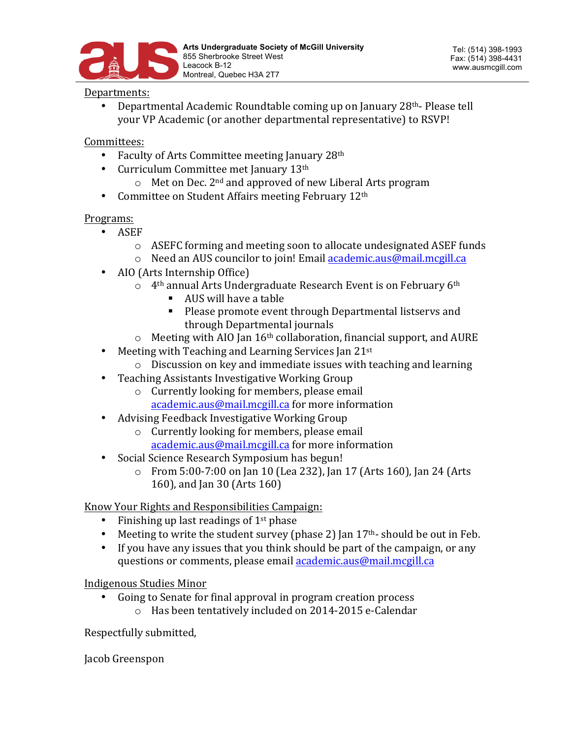

## Departments:

Departmental Academic Roundtable coming up on January 28th-Please tell your VP Academic (or another departmental representative) to RSVP!

## Committees:

- Faculty of Arts Committee meeting January  $28<sup>th</sup>$
- Curriculum Committee met January 13<sup>th</sup>
	- $\circ$  Met on Dec. 2<sup>nd</sup> and approved of new Liberal Arts program
- Committee on Student Affairs meeting February 12<sup>th</sup>

## Programs:

- ASEF
	- o ASEFC forming and meeting soon to allocate undesignated ASEF funds
	- $\circ$  Need an AUS councilor to join! Email academic.aus@mail.mcgill.ca
- AIO (Arts Internship Office)
	- $\circ$  4<sup>th</sup> annual Arts Undergraduate Research Event is on February 6<sup>th</sup>
		- AUS will have a table
		- **•** Please promote event through Departmental listservs and through Departmental iournals
	- $\circ$  Meeting with AIO Jan 16<sup>th</sup> collaboration, financial support, and AURE
- Meeting with Teaching and Learning Services Jan  $21^{st}$ 
	- $\circ$  Discussion on key and immediate issues with teaching and learning
- Teaching Assistants Investigative Working Group
	- $\circ$  Currently looking for members, please email academic.aus@mail.mcgill.ca for more information
- Advising Feedback Investigative Working Group
	- $\circ$  Currently looking for members, please email  $academic.aus@mail.mcgill.ca$  for more information
- Social Science Research Symposium has begun!
	- o From 5:00-7:00 on Jan 10 (Lea 232), Jan 17 (Arts 160), Jan 24 (Arts 160), and Jan 30 (Arts 160)

## Know Your Rights and Responsibilities Campaign:

- Finishing up last readings of  $1<sup>st</sup>$  phase
- Meeting to write the student survey (phase 2) Jan  $17<sup>th</sup>$  should be out in Feb.
- If you have any issues that you think should be part of the campaign, or any questions or comments, please email **academic.aus@mail.mcgill.ca**

Indigenous Studies Minor

• Going to Senate for final approval in program creation process  $\circ$  Has been tentatively included on 2014-2015 e-Calendar

Respectfully submitted,

Jacob Greenspon